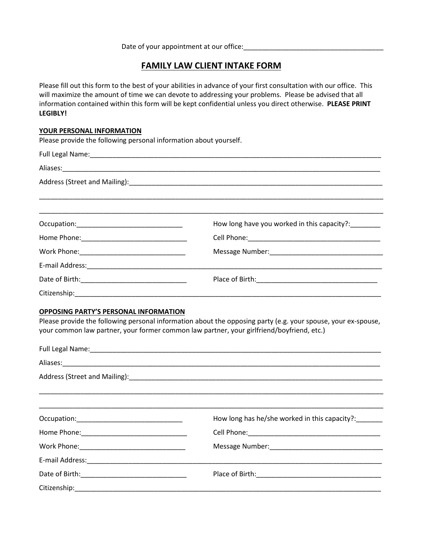Date of your appointment at our office:

# **FAMILY LAW CLIENT INTAKE FORM**

Please fill out this form to the best of your abilities in advance of your first consultation with our office. This will maximize the amount of time we can devote to addressing your problems. Please be advised that all information contained within this form will be kept confidential unless you direct otherwise. **PLEASE PRINT LEGIBLY!** 

#### **YOUR PERSONAL INFORMATION**

Please provide the following personal information about yourself.

|                                    | How long have you worked in this capacity?:_______ |
|------------------------------------|----------------------------------------------------|
|                                    |                                                    |
|                                    |                                                    |
|                                    |                                                    |
|                                    |                                                    |
| Citizenship:______________________ |                                                    |

#### **OPPOSING PARTY'S PERSONAL INFORMATION**

Please provide the following personal information about the opposing party (e.g. your spouse, your ex-spouse, your common law partner, your former common law partner, your girlfriend/boyfriend, etc.)

| How long has he/she worked in this capacity?: |
|-----------------------------------------------|
|                                               |
|                                               |
|                                               |
|                                               |
|                                               |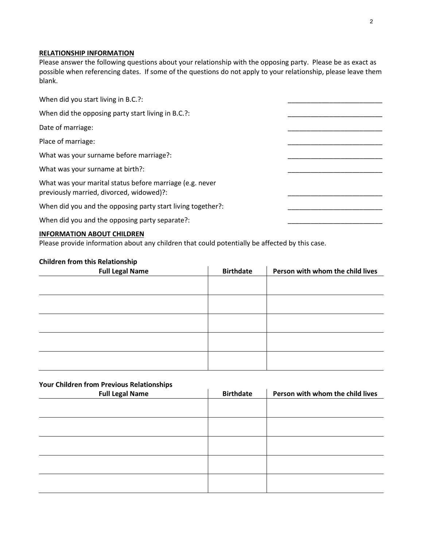## **RELATIONSHIP INFORMATION**

Please answer the following questions about your relationship with the opposing party. Please be as exact as possible when referencing dates. If some of the questions do not apply to your relationship, please leave them blank.

| When did you start living in B.C.?:                                                                  |  |
|------------------------------------------------------------------------------------------------------|--|
| When did the opposing party start living in B.C.?:                                                   |  |
| Date of marriage:                                                                                    |  |
| Place of marriage:                                                                                   |  |
| What was your surname before marriage?:                                                              |  |
| What was your surname at birth?:                                                                     |  |
| What was your marital status before marriage (e.g. never<br>previously married, divorced, widowed)?: |  |
| When did you and the opposing party start living together?:                                          |  |
| When did you and the opposing party separate?:                                                       |  |
|                                                                                                      |  |

## **INFORMATION ABOUT CHILDREN**

Please provide information about any children that could potentially be affected by this case.

## **Children from this Relationship**

| <b>Full Legal Name</b> | <b>Birthdate</b> | Person with whom the child lives |
|------------------------|------------------|----------------------------------|
|                        |                  |                                  |
|                        |                  |                                  |
|                        |                  |                                  |
|                        |                  |                                  |
|                        |                  |                                  |
|                        |                  |                                  |
|                        |                  |                                  |
|                        |                  |                                  |
|                        |                  |                                  |
|                        |                  |                                  |

# **Your Children from Previous Relationships**

| <b>Full Legal Name</b> | <b>Birthdate</b> | Person with whom the child lives |
|------------------------|------------------|----------------------------------|
|                        |                  |                                  |
|                        |                  |                                  |
|                        |                  |                                  |
|                        |                  |                                  |
|                        |                  |                                  |
|                        |                  |                                  |
|                        |                  |                                  |
|                        |                  |                                  |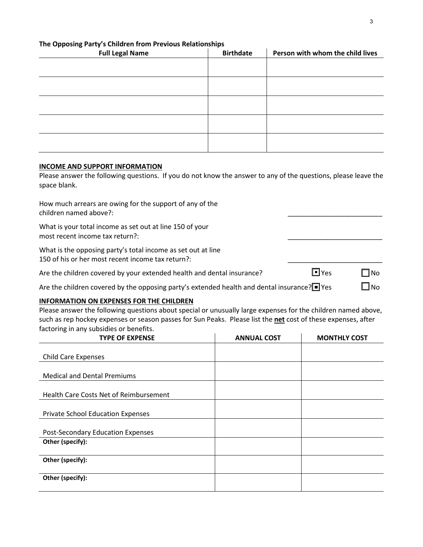## **The Opposing Party's Children from Previous Relationships**

| <b>Full Legal Name</b> | <b>Birthdate</b> | Person with whom the child lives |
|------------------------|------------------|----------------------------------|
|                        |                  |                                  |
|                        |                  |                                  |
|                        |                  |                                  |
|                        |                  |                                  |
|                        |                  |                                  |
|                        |                  |                                  |
|                        |                  |                                  |
|                        |                  |                                  |
|                        |                  |                                  |
|                        |                  |                                  |

#### **INCOME AND SUPPORT INFORMATION**

Please answer the following questions. If you do not know the answer to any of the questions, please leave the space blank.

| How much arrears are owing for the support of any of the |  |
|----------------------------------------------------------|--|
| children named above?:                                   |  |

What is your total income as set out at line 150 of your most recent income tax return?:

What is the opposing party's total income as set out at line 150 of his or her most recent income tax return?:

Are the children covered by your extended health and dental insurance?  $\blacksquare$  Yes  $\blacksquare$  No

■

Are the children covered by the opposing party's extended health and dental insurance? $\blacksquare$  Yes  $\blacksquare$  No

#### **INFORMATION ON EXPENSES FOR THE CHILDREN**

Please answer the following questions about special or unusually large expenses for the children named above, such as rep hockey expenses or season passes for Sun Peaks. Please list the **net** cost of these expenses, after factoring in any subsidies or benefits.

| <b>TYPE OF EXPENSE</b>                        | <b>ANNUAL COST</b> | <b>MONTHLY COST</b> |
|-----------------------------------------------|--------------------|---------------------|
|                                               |                    |                     |
| <b>Child Care Expenses</b>                    |                    |                     |
|                                               |                    |                     |
| <b>Medical and Dental Premiums</b>            |                    |                     |
|                                               |                    |                     |
| <b>Health Care Costs Net of Reimbursement</b> |                    |                     |
|                                               |                    |                     |
| <b>Private School Education Expenses</b>      |                    |                     |
|                                               |                    |                     |
| Post-Secondary Education Expenses             |                    |                     |
| Other (specify):                              |                    |                     |
|                                               |                    |                     |
| Other (specify):                              |                    |                     |
|                                               |                    |                     |
| Other (specify):                              |                    |                     |
|                                               |                    |                     |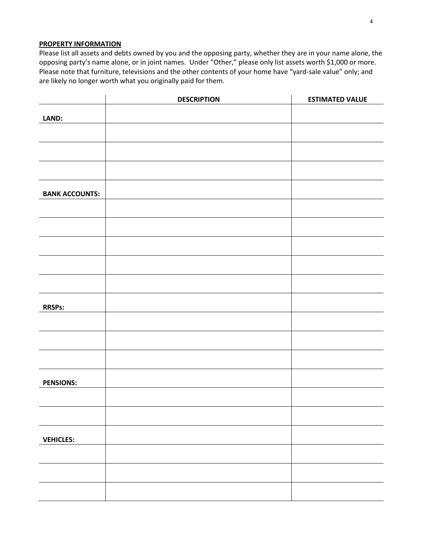#### **PROPERTY INFORMATION**

Please list all assets and debts owned by you and the opposing party, whether they are in your name alone, the opposing party's name alone, or in joint names. Under "Other," please only list assets worth \$1,000 or more. Please note that furniture, televisions and the other contents of your home have "yard-sale value" only; and are likely no longer worth what you originally paid for them.

|                       | <b>DESCRIPTION</b> | <b>ESTIMATED VALUE</b> |
|-----------------------|--------------------|------------------------|
| LAND:                 |                    |                        |
|                       |                    |                        |
|                       |                    |                        |
|                       |                    |                        |
| <b>BANK ACCOUNTS:</b> |                    |                        |
|                       |                    |                        |
|                       |                    |                        |
|                       |                    |                        |
|                       |                    |                        |
|                       |                    |                        |
| <b>RRSPs:</b>         |                    |                        |
|                       |                    |                        |
|                       |                    |                        |
|                       |                    |                        |
| <b>PENSIONS:</b>      |                    |                        |
|                       |                    |                        |
|                       |                    |                        |
| <b>VEHICLES:</b>      |                    |                        |
|                       |                    |                        |
|                       |                    |                        |
|                       |                    |                        |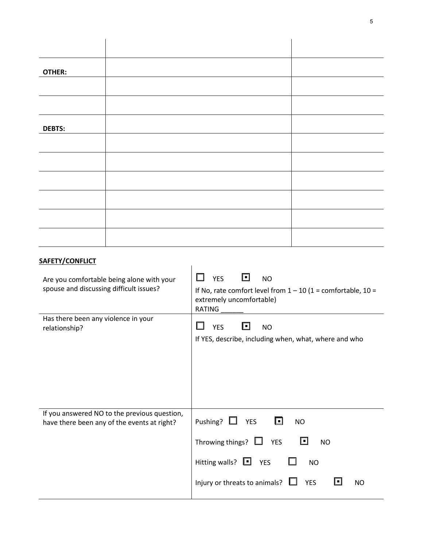| OTHER:        |  |
|---------------|--|
|               |  |
|               |  |
|               |  |
|               |  |
| <b>DEBTS:</b> |  |
|               |  |
|               |  |
|               |  |
|               |  |
|               |  |
|               |  |
|               |  |
|               |  |
|               |  |
|               |  |

# **SAFETY/CONFLICT**

| Are you comfortable being alone with your<br>spouse and discussing difficult issues?        | <b>YES</b><br>H<br><b>NO</b><br>If No, rate comfort level from $1 - 10$ (1 = comfortable, 10 =<br>extremely uncomfortable)<br>RATING                                                          |
|---------------------------------------------------------------------------------------------|-----------------------------------------------------------------------------------------------------------------------------------------------------------------------------------------------|
| Has there been any violence in your<br>relationship?                                        | <b>YES</b><br>ĿГ<br><b>NO</b><br>If YES, describe, including when, what, where and who                                                                                                        |
| If you answered NO to the previous question,<br>have there been any of the events at right? | Pushing? $\Box$ YES<br>O<br><b>NO</b><br>Throwing things? $\Box$ YES<br>ĿГ<br><b>NO</b><br>Hitting walls? $\Box$ YES<br><b>NO</b><br>Injury or threats to animals? $\Box$<br><b>YES</b><br>NO |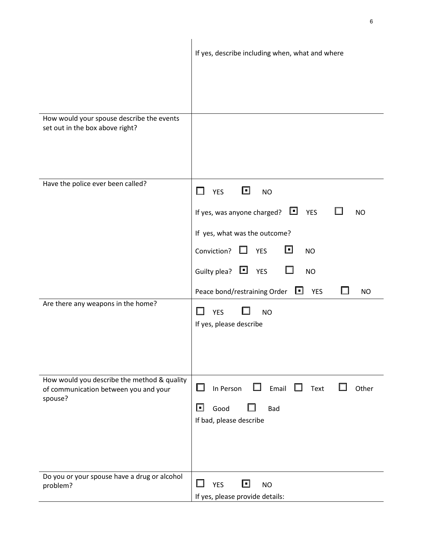|                                                                                                 | If yes, describe including when, what and where                                                               |
|-------------------------------------------------------------------------------------------------|---------------------------------------------------------------------------------------------------------------|
|                                                                                                 |                                                                                                               |
| How would your spouse describe the events<br>set out in the box above right?                    |                                                                                                               |
| Have the police ever been called?                                                               | ⊡<br><b>YES</b><br>H<br><b>NO</b>                                                                             |
|                                                                                                 | ᄓ<br>If yes, was anyone charged?<br><b>YES</b><br><b>NO</b>                                                   |
|                                                                                                 | If yes, what was the outcome?                                                                                 |
|                                                                                                 | ⊡<br>Conviction?<br>1 L<br><b>YES</b><br><b>NO</b>                                                            |
|                                                                                                 | Guilty plea? $\Box$ YES<br>ப<br><b>NO</b>                                                                     |
|                                                                                                 | Peace bond/restraining Order<br>ப<br><b>YES</b><br><b>NO</b>                                                  |
| Are there any weapons in the home?                                                              | <b>YES</b><br><b>NO</b><br>If yes, please describe                                                            |
| How would you describe the method & quality<br>of communication between you and your<br>spouse? | П<br>Email<br>$\Box$<br>In Person<br>Text<br>Other<br>ப<br>⊡<br>Good<br><b>Bad</b><br>If bad, please describe |
| Do you or your spouse have a drug or alcohol<br>problem?                                        | ⊡<br><b>YES</b><br><b>NO</b><br>If yes, please provide details:                                               |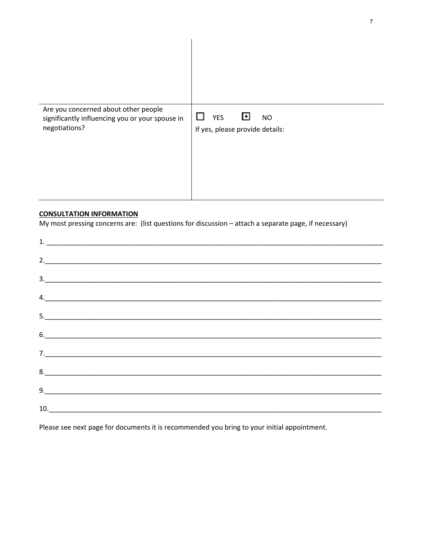| Are you concerned about other people<br>significantly influencing you or your spouse in<br>negotiations? | <b>YES</b><br>ĿГ<br><b>NO</b><br>If yes, please provide details: |
|----------------------------------------------------------------------------------------------------------|------------------------------------------------------------------|

## **CONSULTATION INFORMATION**

My most pressing concerns are: (list questions for discussion - attach a separate page, if necessary)

| 6. |  |  |
|----|--|--|
|    |  |  |
|    |  |  |
|    |  |  |
|    |  |  |

Please see next page for documents it is recommended you bring to your initial appointment.